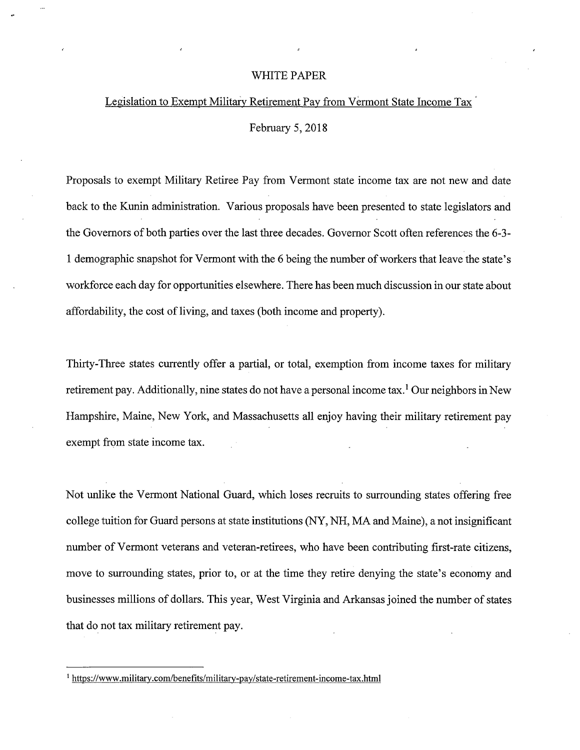## WHITE PAPER

## Legislation to Exempt Military Retirement Pay from Vermont State Income Tax

February 5, 2018

Proposals to exempt Military Retiree Pay from Vermont state income tax are not new and date back to the Kunin administration. Various proposals have been presented to state legislators and the Governors of both parties over the last three decades. Governor Scott often references the 6-3- 1 demographic snapshot for Vermont with the 6 being the number of workers that leave the state's workforce each day for opportunities elsewhere. There has been much discussion in our state about affordability, the cost of living, and taxes (both income and property).

Thirty-Three states currently offer a partial, or total, exemption from income taxes for military retirement pay. Additionally, nine states do not have a personal income tax.<sup>1</sup> Our neighbors in New Hampshire, Maine, New York, and Massachusetts all enjoy having their military retirement pay exempt from state income tax.

Not unlike the Vermont National Guard, which loses recruits to surrounding states offering free college tuition for Guard persons at state institutions (NY, NH, MA and Maine), a not insignificant number of Vermont veterans and veteran-retirees, who have been contributing first-rate citizens, move to surrounding states, prior to, or at the time they retire denying the state's economy and businesses millions of dollars. This year, West Virginia and Arkansas joined the number of states that do not tax military retirement pay.

https://www.military.com/benefits/military-pay/state-retirement-income-tax.html